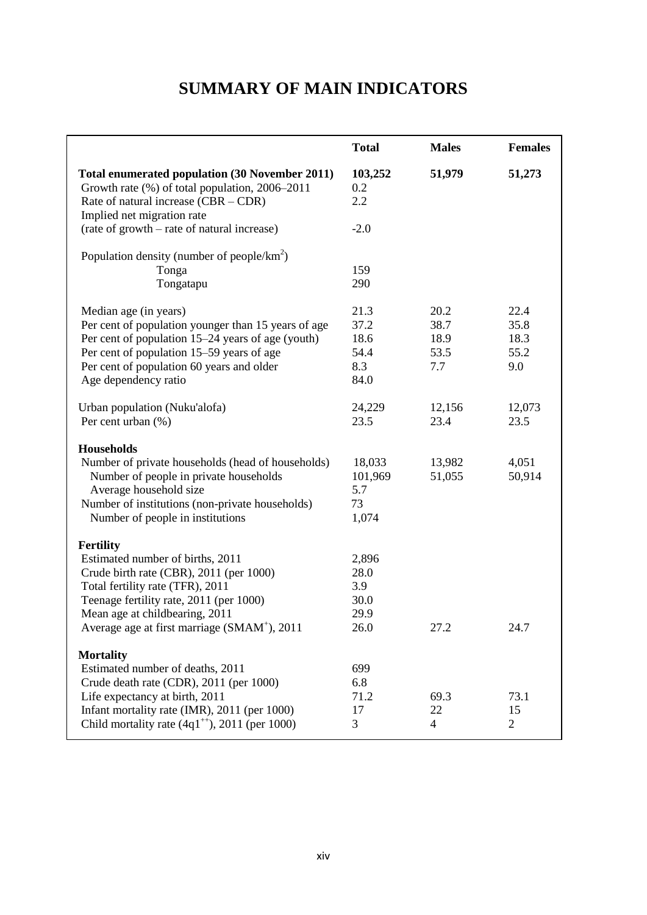## **SUMMARY OF MAIN INDICATORS**

|                                                                                                                                                                                                                                                                              | <b>Total</b>                                 | <b>Males</b>                        | <b>Females</b>                      |
|------------------------------------------------------------------------------------------------------------------------------------------------------------------------------------------------------------------------------------------------------------------------------|----------------------------------------------|-------------------------------------|-------------------------------------|
| <b>Total enumerated population (30 November 2011)</b><br>Growth rate (%) of total population, 2006–2011<br>Rate of natural increase $(CBR - CDR)$<br>Implied net migration rate                                                                                              | 103,252<br>0.2<br>2.2                        | 51,979                              | 51,273                              |
| (rate of growth – rate of natural increase)                                                                                                                                                                                                                                  | $-2.0$                                       |                                     |                                     |
| Population density (number of people/ $km^2$ )                                                                                                                                                                                                                               |                                              |                                     |                                     |
| Tonga<br>Tongatapu                                                                                                                                                                                                                                                           | 159<br>290                                   |                                     |                                     |
| Median age (in years)<br>Per cent of population younger than 15 years of age<br>Per cent of population 15–24 years of age (youth)<br>Per cent of population 15–59 years of age<br>Per cent of population 60 years and older<br>Age dependency ratio                          | 21.3<br>37.2<br>18.6<br>54.4<br>8.3<br>84.0  | 20.2<br>38.7<br>18.9<br>53.5<br>7.7 | 22.4<br>35.8<br>18.3<br>55.2<br>9.0 |
| Urban population (Nuku'alofa)<br>Per cent urban (%)                                                                                                                                                                                                                          | 24,229<br>23.5                               | 12,156<br>23.4                      | 12,073<br>23.5                      |
| <b>Households</b><br>Number of private households (head of households)<br>Number of people in private households<br>Average household size<br>Number of institutions (non-private households)<br>Number of people in institutions                                            | 18,033<br>101,969<br>5.7<br>73<br>1,074      | 13,982<br>51,055                    | 4,051<br>50,914                     |
| <b>Fertility</b><br>Estimated number of births, 2011<br>Crude birth rate (CBR), 2011 (per 1000)<br>Total fertility rate (TFR), 2011<br>Teenage fertility rate, 2011 (per 1000)<br>Mean age at childbearing, 2011<br>Average age at first marriage (SMAM <sup>+</sup> ), 2011 | 2,896<br>28.0<br>3.9<br>30.0<br>29.9<br>26.0 | 27.2                                | 24.7                                |
| <b>Mortality</b><br>Estimated number of deaths, 2011<br>Crude death rate (CDR), 2011 (per 1000)                                                                                                                                                                              | 699<br>6.8                                   |                                     |                                     |
| Life expectancy at birth, 2011<br>Infant mortality rate (IMR), 2011 (per 1000)<br>Child mortality rate $(4q1^{+4})$ , 2011 (per 1000)                                                                                                                                        | 71.2<br>17<br>3                              | 69.3<br>22<br>4                     | 73.1<br>15<br>$\overline{2}$        |
|                                                                                                                                                                                                                                                                              |                                              |                                     |                                     |